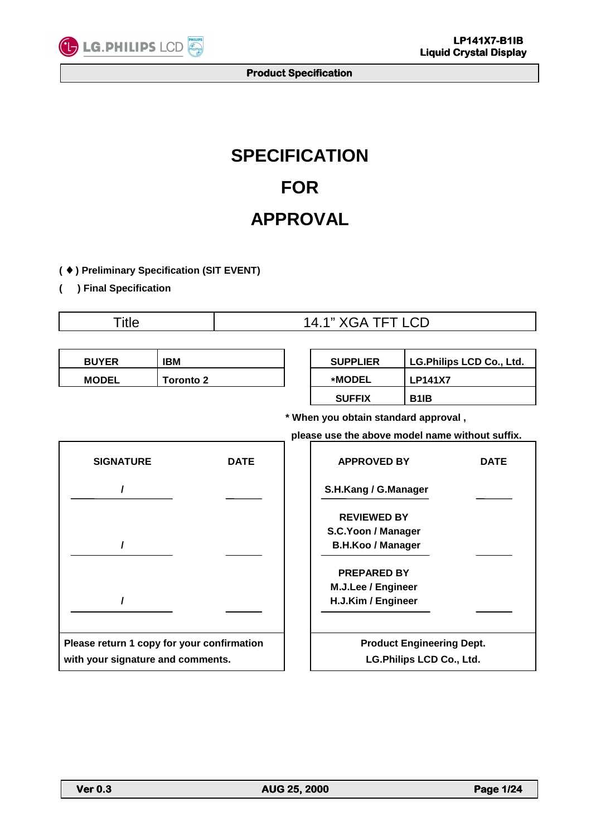

# **SPECIFICATION FOR APPROVAL**

**(** ♦ **) Preliminary Specification (SIT EVENT)** 

**( ) Final Specification** 

| <b>Title</b>                               |                  |                                                 | 14.1" XGA TFT LCD |                                                                      |                                 |             |  |  |
|--------------------------------------------|------------------|-------------------------------------------------|-------------------|----------------------------------------------------------------------|---------------------------------|-------------|--|--|
|                                            |                  |                                                 |                   |                                                                      |                                 |             |  |  |
| <b>BUYER</b>                               | <b>IBM</b>       |                                                 |                   | <b>SUPPLIER</b>                                                      | <b>LG.Philips LCD Co., Ltd.</b> |             |  |  |
| <b>MODEL</b>                               | <b>Toronto 2</b> |                                                 |                   | <b>*MODEL</b>                                                        | <b>LP141X7</b>                  |             |  |  |
|                                            |                  |                                                 |                   | <b>SUFFIX</b>                                                        | B <sub>1</sub> IB               |             |  |  |
|                                            |                  | * When you obtain standard approval,            |                   |                                                                      |                                 |             |  |  |
|                                            |                  | please use the above model name without suffix. |                   |                                                                      |                                 |             |  |  |
| <b>SIGNATURE</b>                           |                  | <b>DATE</b>                                     |                   | <b>APPROVED BY</b>                                                   |                                 | <b>DATE</b> |  |  |
|                                            |                  |                                                 |                   | S.H.Kang / G.Manager                                                 |                                 |             |  |  |
|                                            |                  |                                                 |                   | <b>REVIEWED BY</b><br>S.C.Yoon / Manager<br><b>B.H.Koo / Manager</b> |                                 |             |  |  |
|                                            |                  |                                                 |                   | <b>PREPARED BY</b><br>M.J.Lee / Engineer<br>H.J.Kim / Engineer       |                                 |             |  |  |
| Please return 1 copy for your confirmation |                  |                                                 |                   | <b>Product Engineering Dept.</b>                                     |                                 |             |  |  |
| with your signature and comments.          |                  |                                                 |                   | LG.Philips LCD Co., Ltd.                                             |                                 |             |  |  |

L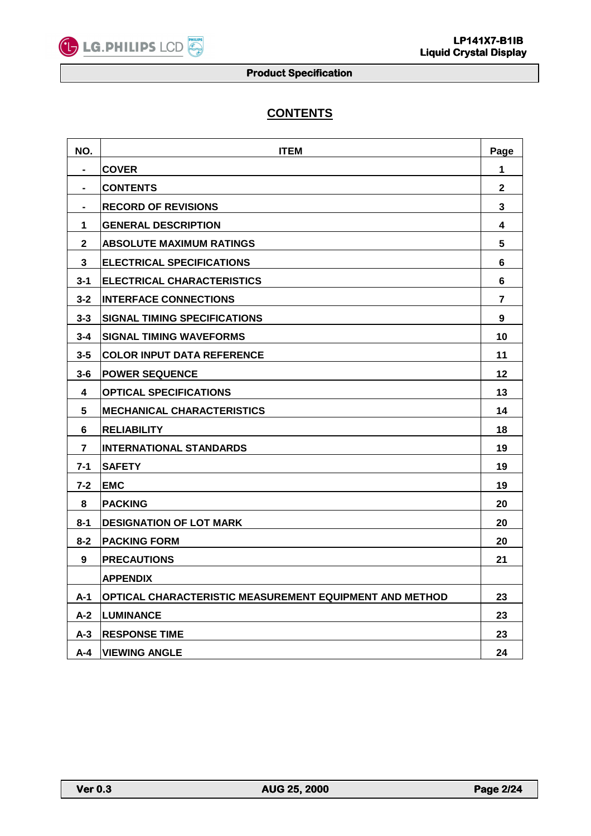

# **CONTENTS**

| NO.     | <b>ITEM</b>                                             | Page           |
|---------|---------------------------------------------------------|----------------|
|         | <b>COVER</b>                                            | 1              |
|         | <b>CONTENTS</b>                                         | $\mathbf{2}$   |
|         | <b>RECORD OF REVISIONS</b>                              | 3              |
| 1       | <b>GENERAL DESCRIPTION</b>                              | 4              |
| 2       | <b>ABSOLUTE MAXIMUM RATINGS</b>                         | 5              |
| 3       | <b>ELECTRICAL SPECIFICATIONS</b>                        | 6              |
| $3 - 1$ | <b>ELECTRICAL CHARACTERISTICS</b>                       | 6              |
| $3 - 2$ | <b>INTERFACE CONNECTIONS</b>                            | $\overline{7}$ |
| $3 - 3$ | <b>SIGNAL TIMING SPECIFICATIONS</b>                     | 9              |
| $3 - 4$ | <b>SIGNAL TIMING WAVEFORMS</b>                          | 10             |
| $3 - 5$ | <b>COLOR INPUT DATA REFERENCE</b>                       | 11             |
| $3 - 6$ | <b>POWER SEQUENCE</b>                                   | 12             |
| 4       | <b>OPTICAL SPECIFICATIONS</b>                           | 13             |
| 5       | <b>MECHANICAL CHARACTERISTICS</b>                       | 14             |
| 6       | <b>RELIABILITY</b>                                      | 18             |
| 7       | <b>INTERNATIONAL STANDARDS</b>                          | 19             |
| $7 - 1$ | <b>SAFETY</b>                                           | 19             |
| $7 - 2$ | <b>EMC</b>                                              | 19             |
| 8       | <b>PACKING</b>                                          | 20             |
| $8 - 1$ | <b>DESIGNATION OF LOT MARK</b>                          | 20             |
| $8 - 2$ | <b>PACKING FORM</b>                                     | 20             |
| 9       | <b>PRECAUTIONS</b>                                      | 21             |
|         | <b>APPENDIX</b>                                         |                |
| $A-1$   | OPTICAL CHARACTERISTIC MEASUREMENT EQUIPMENT AND METHOD | 23             |
| $A-2$   | <b>LUMINANCE</b>                                        | 23             |
| $A-3$   | <b>RESPONSE TIME</b>                                    | 23             |
| A-4     | <b>VIEWING ANGLE</b>                                    | 24             |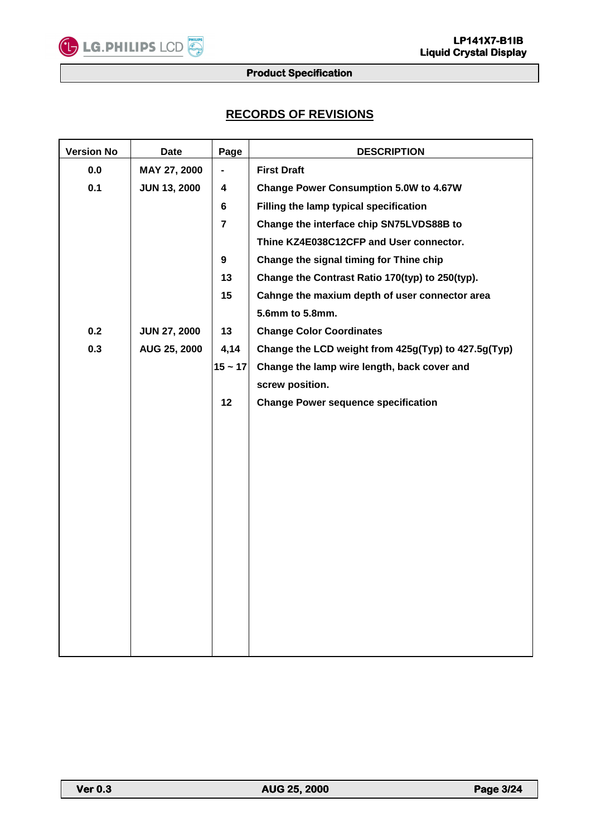# **RECORDS OF REVISIONS**

| <b>Version No</b> | <b>Date</b>         | Page                    | <b>DESCRIPTION</b>                                  |
|-------------------|---------------------|-------------------------|-----------------------------------------------------|
| 0.0               | MAY 27, 2000        |                         | <b>First Draft</b>                                  |
| 0.1               | <b>JUN 13, 2000</b> | 4                       | <b>Change Power Consumption 5.0W to 4.67W</b>       |
|                   |                     | $6\phantom{a}$          | Filling the lamp typical specification              |
|                   |                     | $\overline{7}$          | Change the interface chip SN75LVDS88B to            |
|                   |                     |                         | Thine KZ4E038C12CFP and User connector.             |
|                   |                     | $\overline{\mathbf{9}}$ | Change the signal timing for Thine chip             |
|                   |                     | 13                      | Change the Contrast Ratio 170(typ) to 250(typ).     |
|                   |                     | 15                      | Cahnge the maxium depth of user connector area      |
|                   |                     |                         | 5.6mm to 5.8mm.                                     |
| 0.2               | <b>JUN 27, 2000</b> | 13                      | <b>Change Color Coordinates</b>                     |
| 0.3               | AUG 25, 2000        | 4,14                    | Change the LCD weight from 425g(Typ) to 427.5g(Typ) |
|                   |                     | $15 - 17$               | Change the lamp wire length, back cover and         |
|                   |                     |                         | screw position.                                     |
|                   |                     | 12                      | <b>Change Power sequence specification</b>          |
|                   |                     |                         |                                                     |
|                   |                     |                         |                                                     |
|                   |                     |                         |                                                     |
|                   |                     |                         |                                                     |
|                   |                     |                         |                                                     |
|                   |                     |                         |                                                     |
|                   |                     |                         |                                                     |
|                   |                     |                         |                                                     |
|                   |                     |                         |                                                     |
|                   |                     |                         |                                                     |
|                   |                     |                         |                                                     |
|                   |                     |                         |                                                     |
|                   |                     |                         |                                                     |
|                   |                     |                         |                                                     |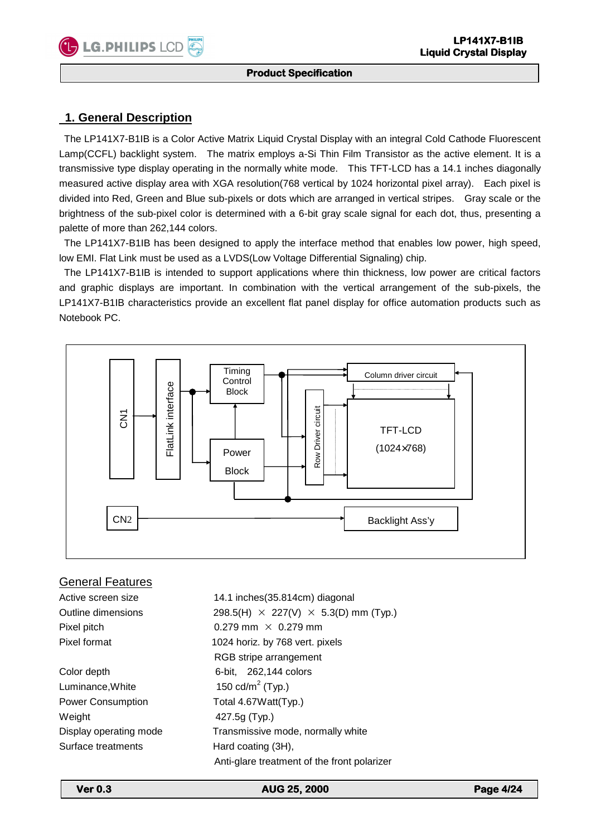#### **Product Specification**

## **1. General Description**

 The LP141X7-B1IB is a Color Active Matrix Liquid Crystal Display with an integral Cold Cathode Fluorescent Lamp(CCFL) backlight system. The matrix employs a-Si Thin Film Transistor as the active element. It is a transmissive type display operating in the normally white mode. This TFT-LCD has a 14.1 inches diagonally measured active display area with XGA resolution(768 vertical by 1024 horizontal pixel array). Each pixel is divided into Red, Green and Blue sub-pixels or dots which are arranged in vertical stripes. Gray scale or the brightness of the sub-pixel color is determined with a 6-bit gray scale signal for each dot, thus, presenting a palette of more than 262,144 colors.

 The LP141X7-B1IB has been designed to apply the interface method that enables low power, high speed, low EMI. Flat Link must be used as a LVDS(Low Voltage Differential Signaling) chip.

 The LP141X7-B1IB is intended to support applications where thin thickness, low power are critical factors and graphic displays are important. In combination with the vertical arrangement of the sub-pixels, the LP141X7-B1IB characteristics provide an excellent flat panel display for office automation products such as Notebook PC.



#### General Features

Active screen size 14.1 inches(35.814cm) diagonal Outline dimensions 298.5(H)  $\times$  227(V)  $\times$  5.3(D) mm (Typ.) Pixel pitch  $0.279$  mm  $\times$  0.279 mm Pixel format 1024 horiz. by 768 vert. pixels RGB stripe arrangement Color depth 6-bit, 262,144 colors Luminance, White 150 cd/m<sup>2</sup> (Typ.) Power Consumption Total 4.67 Watt(Typ.) Weight 427.5g (Typ.) Display operating mode Transmissive mode, normally white Surface treatments Hard coating (3H),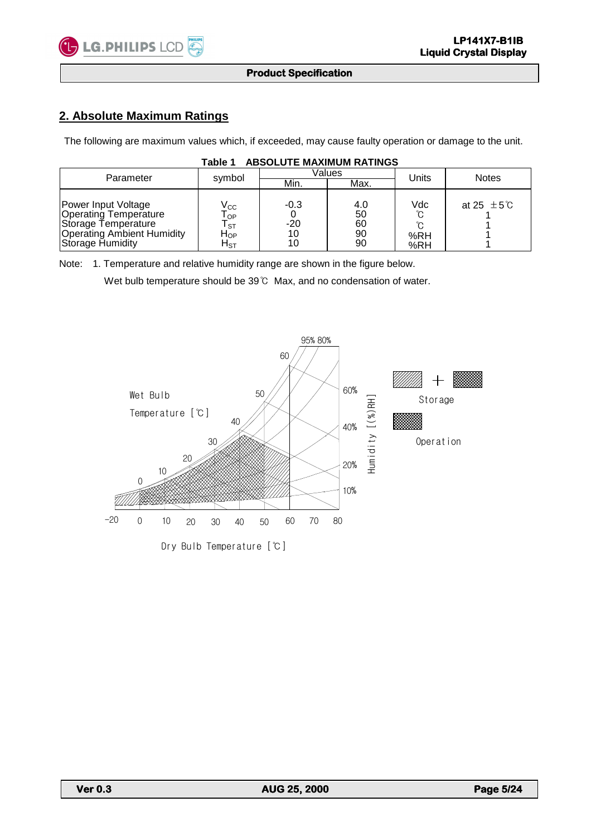

# **2. Absolute Maximum Ratings**

The following are maximum values which, if exceeded, may cause faulty operation or damage to the unit.

| .<br>ADUULU I L MA'NIMUM INATINGU                                                                                                   |                                                                                                         |                             |                             |                   |                           |  |  |  |  |  |
|-------------------------------------------------------------------------------------------------------------------------------------|---------------------------------------------------------------------------------------------------------|-----------------------------|-----------------------------|-------------------|---------------------------|--|--|--|--|--|
| Parameter                                                                                                                           | symbol                                                                                                  |                             | Values                      | Units             | <b>Notes</b>              |  |  |  |  |  |
|                                                                                                                                     |                                                                                                         | Min.                        | Max.                        |                   |                           |  |  |  |  |  |
| Power Input Voltage<br><b>Operating Temperature</b><br>Storage Temperature<br><b>Operating Ambient Humidity</b><br>Storage Humidity | $\mathsf{V}_{\mathsf{CC}}$<br>$\mathsf{T}_{\mathsf{OP}}$<br>l sт<br>$H_{OP}$<br>${\sf H}_{\texttt{ST}}$ | $-0.3$<br>$-20$<br>10<br>10 | 4.0<br>50<br>60<br>90<br>90 | Vdc<br>%RH<br>%RH | at 25 $\pm$ 5 $\degree$ C |  |  |  |  |  |

#### **Table 1 ABSOLUTE MAXIMUM RATINGS**

Note: 1. Temperature and relative humidity range are shown in the figure below.

Wet bulb temperature should be 39℃ Max, and no condensation of water.

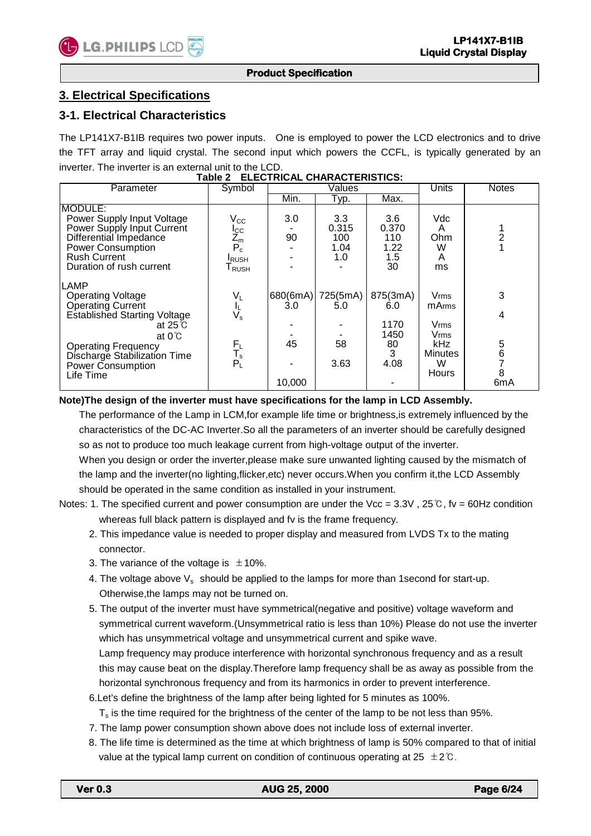#### **Product Specification**

## **3. Electrical Specifications**

#### **3-1. Electrical Characteristics**

The LP141X7-B1IB requires two power inputs. One is employed to power the LCD electronics and to drive the TFT array and liquid crystal. The second input which powers the CCFL, is typically generated by an inverter. The inverter is an external unit to the LCD.

| Parameter                                                                                                                                                                                                                                | Symbol                                                                                            |                                 | $\sqrt{\text{alues}}$              | Units                                              | <b>Notes</b>                                                                 |                              |
|------------------------------------------------------------------------------------------------------------------------------------------------------------------------------------------------------------------------------------------|---------------------------------------------------------------------------------------------------|---------------------------------|------------------------------------|----------------------------------------------------|------------------------------------------------------------------------------|------------------------------|
|                                                                                                                                                                                                                                          |                                                                                                   | Min.                            | Typ.                               | Max.                                               |                                                                              |                              |
| MODULE:<br>Power Supply Input Voltage<br>Power Supply Input Current<br>Differential Impedance<br><b>Power Consumption</b><br><b>Rush Current</b><br>Duration of rush current                                                             | $\rm V_{CC}$<br>$I_{\text{C}}$<br>$Z_{\text{m}}$<br>$P_c^-$<br><b>I</b> RUSH<br>$T_{\text{RUSH}}$ | 3.0<br>90                       | 3.3<br>0.315<br>100<br>1.04<br>1.0 | 3.6<br>0.370<br>110<br>1.22<br>1.5<br>30           | Vdc<br>A<br>Ohm<br>W<br>A<br>ms                                              |                              |
| <b>LAMP</b><br><b>Operating Voltage</b><br>Operating Current<br><b>Established Starting Voltage</b><br>at $25^\circ$<br>at $0^{\circ}$ C<br><b>Operating Frequency</b><br>Discharge Stabilization Time<br>Power Consumption<br>Life Time | $V_L$<br>$V_s$<br>$F_L$<br>$T_s$<br>$P_{L}$                                                       | 680(6mA)<br>3.0<br>45<br>10,000 | 725(5mA)<br>5.0<br>58<br>3.63      | 875(3mA)<br>6.0<br>1170<br>1450<br>80<br>3<br>4.08 | Vrms<br><b>m</b> Arms<br>Vrms<br>Vrms<br>kHz<br><b>Minutes</b><br>W<br>Hours | 3<br>4<br>5<br>6<br>8<br>6mA |

#### **Table 2 ELECTRICAL CHARACTERISTICS:**

**Note)The design of the inverter must have specifications for the lamp in LCD Assembly.** 

 The performance of the Lamp in LCM,for example life time or brightness,is extremely influenced by the characteristics of the DC-AC Inverter.So all the parameters of an inverter should be carefully designed so as not to produce too much leakage current from high-voltage output of the inverter.

When you design or order the inverter, please make sure unwanted lighting caused by the mismatch of the lamp and the inverter(no lighting,flicker,etc) never occurs.When you confirm it,the LCD Assembly should be operated in the same condition as installed in your instrument.

Notes: 1. The specified current and power consumption are under the Vcc =  $3.3V$ ,  $25°C$ , fv =  $60Hz$  condition whereas full black pattern is displayed and fy is the frame frequency.

- 2. This impedance value is needed to proper display and measured from LVDS Tx to the mating connector.
- 3. The variance of the voltage is  $\pm 10\%$ .
- 4. The voltage above  $V_s$  should be applied to the lamps for more than 1 second for start-up. Otherwise,the lamps may not be turned on.
- 5. The output of the inverter must have symmetrical(negative and positive) voltage waveform and symmetrical current waveform.(Unsymmetrical ratio is less than 10%) Please do not use the inverter which has unsymmetrical voltage and unsymmetrical current and spike wave. Lamp frequency may produce interference with horizontal synchronous frequency and as a result this may cause beat on the display.Therefore lamp frequency shall be as away as possible from the horizontal synchronous frequency and from its harmonics in order to prevent interference.
- 6.Let's define the brightness of the lamp after being lighted for 5 minutes as 100%.
	- Ts is the time required for the brightness of the center of the lamp to be not less than 95%.
- 7. The lamp power consumption shown above does not include loss of external inverter.
- 8. The life time is determined as the time at which brightness of lamp is 50% compared to that of initial value at the typical lamp current on condition of continuous operating at 25 ±2℃.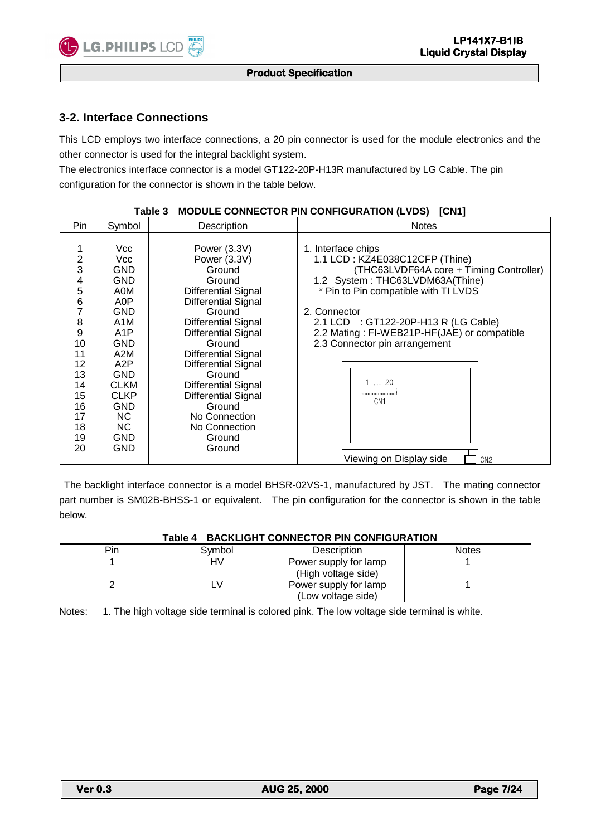#### **Product Specification**

## **3-2. Interface Connections**

This LCD employs two interface connections, a 20 pin connector is used for the module electronics and the other connector is used for the integral backlight system.

The electronics interface connector is a model GT122-20P-H13R manufactured by LG Cable. The pin configuration for the connector is shown in the table below.

| Pin                                                                                                                     | Symbol                                                                                                                                                                                                                | Description                                                                                                                                                                                                                                                                                                                                                                      | <b>Notes</b>                                                                                                                                                                                                                                                                                                                                                                                  |
|-------------------------------------------------------------------------------------------------------------------------|-----------------------------------------------------------------------------------------------------------------------------------------------------------------------------------------------------------------------|----------------------------------------------------------------------------------------------------------------------------------------------------------------------------------------------------------------------------------------------------------------------------------------------------------------------------------------------------------------------------------|-----------------------------------------------------------------------------------------------------------------------------------------------------------------------------------------------------------------------------------------------------------------------------------------------------------------------------------------------------------------------------------------------|
| $\overline{2}$<br>3<br>4<br>5<br>$\,6$<br>7<br>8<br>9<br>10<br>11<br>12<br>13<br>14<br>15<br>16<br>17<br>18<br>19<br>20 | Vcc<br>Vcc<br><b>GND</b><br><b>GND</b><br>A0M<br>A0P<br>GND<br>A <sub>1</sub> M<br>A <sub>1</sub> P<br><b>GND</b><br>A2M<br>A2P<br><b>GND</b><br><b>CLKM</b><br><b>CLKP</b><br><b>GND</b><br>NC.<br>NC.<br>GND<br>GND | Power (3.3V)<br>Power (3.3V)<br>Ground<br>Ground<br><b>Differential Signal</b><br>Differential Signal<br>Ground<br><b>Differential Signal</b><br><b>Differential Signal</b><br>Ground<br><b>Differential Signal</b><br>Differential Signal<br>Ground<br><b>Differential Signal</b><br><b>Differential Signal</b><br>Ground<br>No Connection<br>No Connection<br>Ground<br>Ground | 1. Interface chips<br>1.1 LCD: KZ4E038C12CFP (Thine)<br>(THC63LVDF64A core + Timing Controller)<br>1.2 System: THC63LVDM63A(Thine)<br>* Pin to Pin compatible with TI LVDS<br>2. Connector<br>2.1 LCD : GT122-20P-H13 R (LG Cable)<br>2.2 Mating: FI-WEB21P-HF(JAE) or compatible<br>2.3 Connector pin arrangement<br>$1$ 20<br>CN <sub>1</sub><br>Viewing on Display side<br>CN <sub>2</sub> |

#### **Table 3 MODULE CONNECTOR PIN CONFIGURATION (LVDS) [CN1]**

 The backlight interface connector is a model BHSR-02VS-1, manufactured by JST. The mating connector part number is SM02B-BHSS-1 or equivalent. The pin configuration for the connector is shown in the table below.

|     |        | Table 4 BACKLIGHT CONNECTOR PIN CONFIGURATION |              |
|-----|--------|-----------------------------------------------|--------------|
| Pin | Svmbol | <b>Description</b>                            | <b>Notes</b> |
|     | HV     | Power supply for lamp                         |              |
|     |        | (High voltage side)                           |              |
|     |        | Power supply for lamp                         |              |

#### **Table 4 BACKLIGHT CONNECTOR PIN CONFIGURATION**

(Low voltage side)

Notes: 1. The high voltage side terminal is colored pink. The low voltage side terminal is white.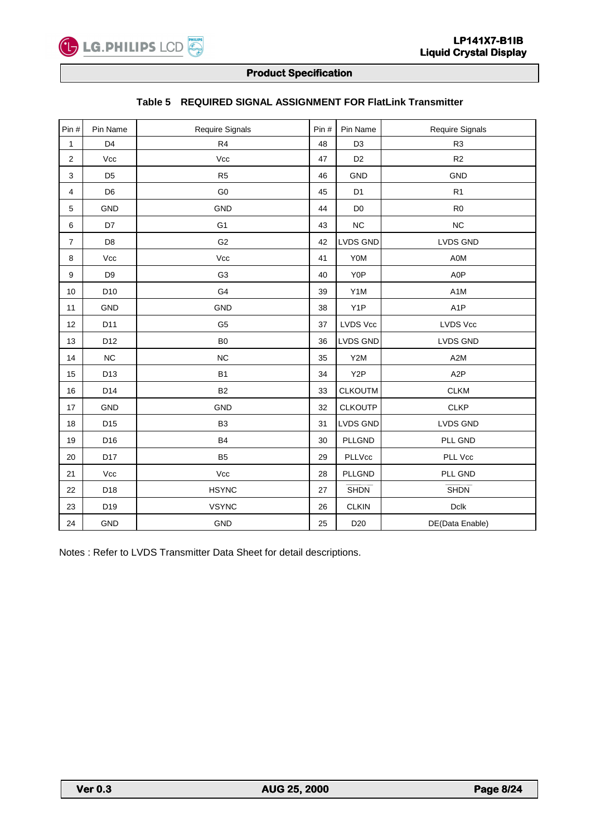

| Pin #          | Pin Name        | Require Signals | Pin# | Pin Name         | Require Signals  |
|----------------|-----------------|-----------------|------|------------------|------------------|
| 1              | D <sub>4</sub>  | R <sub>4</sub>  | 48   | D <sub>3</sub>   | R <sub>3</sub>   |
| $\overline{c}$ | Vcc             | $\mathsf{Vcc}$  | 47   | D <sub>2</sub>   | R <sub>2</sub>   |
| 3              | D <sub>5</sub>  | R <sub>5</sub>  | 46   | <b>GND</b>       | <b>GND</b>       |
| 4              | D <sub>6</sub>  | G <sub>0</sub>  | 45   | D <sub>1</sub>   | R <sub>1</sub>   |
| 5              | <b>GND</b>      | <b>GND</b>      | 44   | D <sub>0</sub>   | R <sub>0</sub>   |
| 6              | D7              | G <sub>1</sub>  | 43   | <b>NC</b>        | <b>NC</b>        |
| $\overline{7}$ | D <sub>8</sub>  | G <sub>2</sub>  | 42   | <b>LVDS GND</b>  | LVDS GND         |
| 8              | Vcc             | Vcc             | 41   | Y0M              | A0M              |
| 9              | D <sub>9</sub>  | G <sub>3</sub>  | 40   | Y <sub>0</sub> P | A0P              |
| 10             | D <sub>10</sub> | G <sub>4</sub>  | 39   | Y1M              | A <sub>1</sub> M |
| 11             | <b>GND</b>      | <b>GND</b>      | 38   | Y <sub>1</sub> P | A <sub>1</sub> P |
| 12             | D11             | G <sub>5</sub>  | 37   | LVDS Vcc         | LVDS Vcc         |
| 13             | D12             | B <sub>0</sub>  | 36   | <b>LVDS GND</b>  | <b>LVDS GND</b>  |
| 14             | NC              | NC              | 35   | Y2M              | A <sub>2</sub> M |
| 15             | D13             | <b>B1</b>       | 34   | Y <sub>2</sub> P | A <sub>2</sub> P |
| 16             | D14             | <b>B2</b>       | 33   | <b>CLKOUTM</b>   | <b>CLKM</b>      |
| 17             | <b>GND</b>      | <b>GND</b>      | 32   | <b>CLKOUTP</b>   | <b>CLKP</b>      |
| 18             | D <sub>15</sub> | B <sub>3</sub>  | 31   | LVDS GND         | LVDS GND         |
| 19             | D16             | <b>B4</b>       | 30   | <b>PLLGND</b>    | PLL GND          |
| 20             | D17             | <b>B5</b>       | 29   | PLLVcc           | PLL Vcc          |
| 21             | Vcc             | Vcc             | 28   | PLLGND           | PLL GND          |
| 22             | D18             | <b>HSYNC</b>    | 27   | <b>SHDN</b>      | <b>SHDN</b>      |
| 23             | D19             | <b>VSYNC</b>    | 26   | <b>CLKIN</b>     | $D$ clk          |
| 24             | GND             | GND             | 25   | D <sub>20</sub>  | DE(Data Enable)  |

# **Table 5 REQUIRED SIGNAL ASSIGNMENT FOR FlatLink Transmitter**

Notes : Refer to LVDS Transmitter Data Sheet for detail descriptions.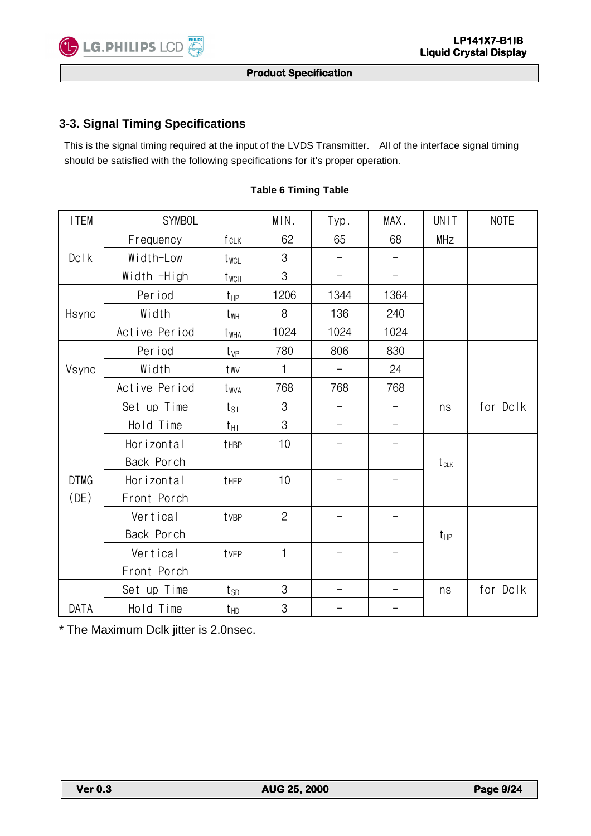

# **3-3. Signal Timing Specifications**

 This is the signal timing required at the input of the LVDS Transmitter. All of the interface signal timing should be satisfied with the following specifications for it's proper operation.

| <b>ITEM</b>                    | <b>SYMBOL</b> |                    | MIN.           | Typ.              | MAX.              | UNIT       | <b>NOTE</b> |
|--------------------------------|---------------|--------------------|----------------|-------------------|-------------------|------------|-------------|
|                                | Frequency     | fclk               | 62             | 65                | 68                | <b>MHz</b> |             |
| $Dc$ <sup><math>k</math></sup> | Width-Low     | twcL               | 3              |                   | $\qquad \qquad -$ |            |             |
|                                | Width -High   | $t_{\textrm{WCH}}$ | 3              | $\qquad \qquad -$ | $\qquad \qquad -$ |            |             |
|                                | Per iod       | $t_{\text{HP}}$    | 1206           | 1344              | 1364              |            |             |
| Hsync                          | Width         | t <sub>wh</sub>    | 8              | 136               | 240               |            |             |
|                                | Active Period | t <sub>WHA</sub>   | 1024           | 1024              | 1024              |            |             |
|                                | Per iod       | $t_{VP}$           | 780            | 806               | 830               |            |             |
| Vsync                          | Width         | twv                | $\mathbf{1}$   |                   | 24                |            |             |
|                                | Active Period | twya               | 768            | 768               | 768               |            |             |
|                                | Set up Time   | $t_{S1}$           | 3              |                   |                   | ns         | for Dclk    |
|                                | Hold Time     | $t_{\rm HI}$       | 3              |                   |                   |            |             |
|                                | Horizontal    | tHBP               | 10             |                   |                   |            |             |
|                                | Back Porch    |                    |                |                   |                   | $t_{CLK}$  |             |
| <b>DTMG</b>                    | Horizontal    | tHFP               | 10             |                   |                   |            |             |
| (DE)                           | Front Porch   |                    |                |                   |                   |            |             |
|                                | Vertical      | tvBP               | $\overline{c}$ |                   |                   |            |             |
|                                | Back Porch    |                    |                |                   |                   | $t_{HP}$   |             |
|                                | Vertical      | tvFP               |                |                   |                   |            |             |
|                                | Front Porch   |                    |                |                   |                   |            |             |
|                                | Set up Time   | $t_{SD}$           | 3              |                   | —                 | ns         | for Dclk    |
| DATA                           | Hold Time     | $t_{HD}$           | 3              |                   |                   |            |             |

#### **Table 6 Timing Table**

\* The Maximum Dclk jitter is 2.0nsec.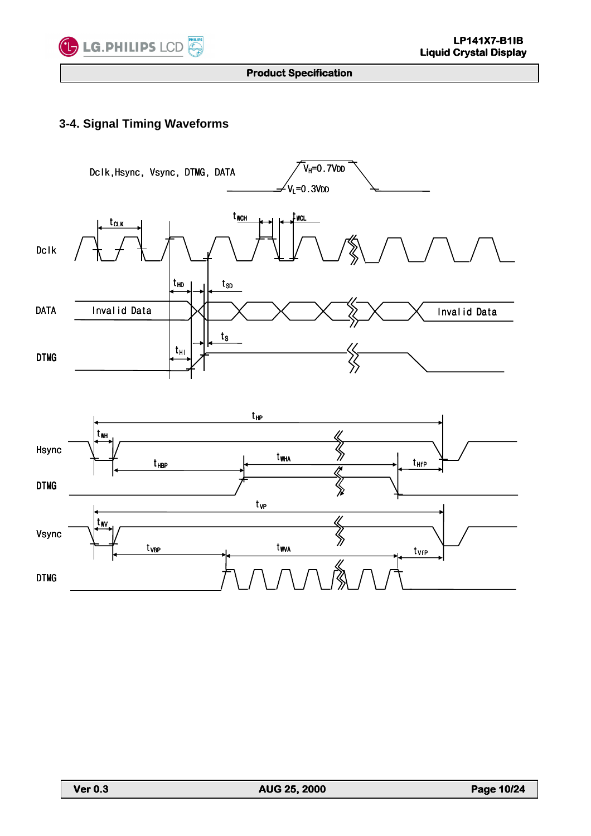

# **3-4. Signal Timing Waveforms**



L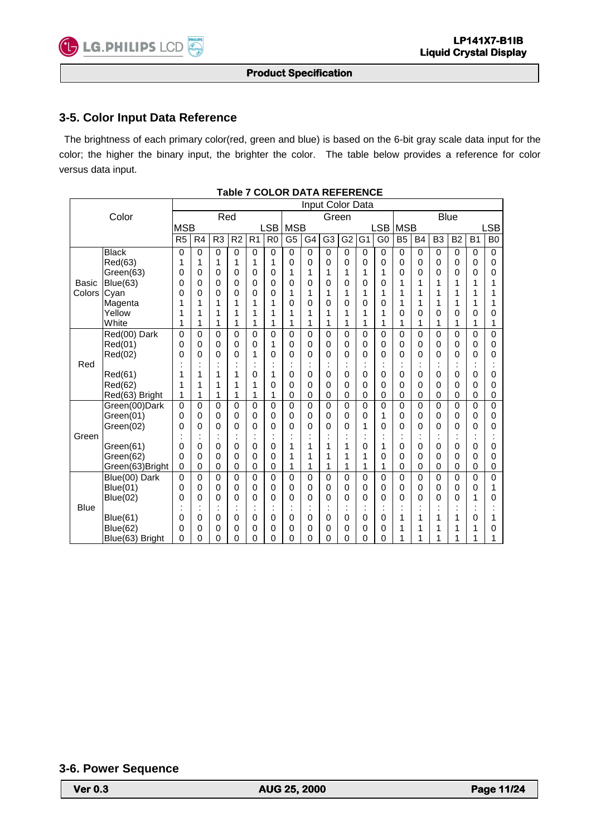#### **Product Specification**

# **3-5. Color Input Data Reference**

 The brightness of each primary color(red, green and blue) is based on the 6-bit gray scale data input for the color; the higher the binary input, the brighter the color. The table below provides a reference for color versus data input.

|              |                 | Input Color Data |                |                |                |                |                |                           |       |                |             |                |                      |                |           |                |                |           |           |
|--------------|-----------------|------------------|----------------|----------------|----------------|----------------|----------------|---------------------------|-------|----------------|-------------|----------------|----------------------|----------------|-----------|----------------|----------------|-----------|-----------|
|              | Color           |                  | Red            |                |                |                |                |                           | Green |                |             |                |                      | <b>Blue</b>    |           |                |                |           |           |
|              |                 | <b>MSB</b>       |                |                |                |                | LSB            | <b>MSB</b>                |       |                |             |                | <b>LSB</b>           | <b>MSB</b>     |           |                |                |           | .SB       |
|              |                 | R <sub>5</sub>   | R <sub>4</sub> | R <sub>3</sub> | R <sub>2</sub> | R <sub>1</sub> | R <sub>0</sub> | G <sub>5</sub>            | G4    | G <sub>3</sub> | G2          | G <sub>1</sub> | G <sub>0</sub>       | B <sub>5</sub> | <b>B4</b> | B <sub>3</sub> | B <sub>2</sub> | <b>B1</b> | <b>B0</b> |
|              | <b>Black</b>    | 0                | 0              | 0              | $\mathbf 0$    | 0              | 0              | $\mathbf 0$               | 0     | $\mathbf 0$    | $\mathbf 0$ | 0              | 0                    | $\mathbf 0$    | 0         | $\mathbf 0$    | $\mathbf 0$    | 0         | 0         |
|              | Red(63)         | 1                | 1              | 1              | 1              | 1              | 1              | 0                         | 0     | 0              | 0           | 0              | 0                    | 0              | 0         | 0              | 0              | 0         | 0         |
|              | Green(63)       | 0                | 0              | 0              | 0              | 0              | 0              | 1                         | 1     | 1              | 1           | 1              | 1                    | 0              | 0         | 0              | 0              | 0         | 0         |
| <b>Basic</b> | Blue(63)        | 0                | 0              | 0              | 0              | 0              | 0              | 0                         | 0     | 0              | 0           | 0              | 0                    | 1              | 1         | 1              | 1              | 1         | 1         |
| Colors       | Cyan            | 0                | 0              | 0              | 0              | 0              | 0              | 1                         | 1     | 1              | 1           | 1              | 1                    | 1              | 1         | 1              | 1              | 1         |           |
|              | Magenta         | 1                | 1              | 1              | 1              | 1              | 1              | 0                         | 0     | 0              | 0           | 0              | 0                    | 1              | 1         | 1              | 1              | 1         | 1         |
|              | Yellow          | 1                | 1              | 1              | 1              | 1              | 1              | 1                         | 1     | 1              | 1           | 1              | 1                    | 0              | 0         | 0              | 0              | 0         | 0         |
|              | White           | 1                | 1              | 1              | 1              | 1              | 1              | 1                         | 1     | 1              | 1           | 1              | 1                    | 1              | 1         | 1              | 1              | 1         | 1         |
|              | Red(00) Dark    | 0                | 0              | 0              | $\mathbf 0$    | 0              | 0              | $\mathbf 0$               | 0     | 0              | $\mathbf 0$ | 0              | 0                    | 0              | 0         | 0              | $\Omega$       | 0         | 0         |
|              | Red(01)         | 0                | 0              | 0              | 0              | 0              | 1              | 0                         | 0     | 0              | $\mathbf 0$ | 0              | 0                    | 0              | 0         | 0              | $\mathbf 0$    | 0         | 0         |
|              | Red(02)         | 0                | 0              | 0              | 0              | 1              | 0              | 0                         | 0     | 0              | 0           | 0              | 0                    | 0              | 0         | 0              | 0              | 0         | 0         |
| Red          |                 |                  |                |                |                | $\cdot$        | $\cdot$        | ٠<br>$\ddot{\phantom{a}}$ |       | $\cdot$        |             |                | $\cdot$<br>$\cdot$   |                | $\cdot$   |                |                |           |           |
|              | Red(61)         | 1                | 1              | 1              | 1              | 0              | 1              | 0                         | 0     | 0              | 0           | 0              | 0                    | 0              | 0         | 0              | 0              | 0         | 0         |
|              | Red(62)         | 1                | 1              | 1              | 1              | 1              | 0              | 0                         | 0     | 0              | 0           | $\Omega$       | 0                    | 0              | 0         | 0              | 0              | 0         | 0         |
|              | Red(63) Bright  | 1                | 1              | 1              | 1              | 1              | 1              | $\mathbf 0$               | 0     | 0              | 0           | 0              | 0                    | 0              | 0         | 0              | 0              | 0         | 0         |
|              | Green(00)Dark   | 0                | 0              | 0              | 0              | 0              | 0              | 0                         | 0     | 0              | 0           | 0              | 0                    | 0              | 0         | 0              | 0              | 0         | 0         |
|              | Green(01)       | 0                | 0              | 0              | 0              | 0              | 0              | 0                         | 0     | 0              | 0           | 0              | 1                    | 0              | 0         | 0              | 0              | 0         | 0         |
|              | Green(02)       | 0                | 0              | 0              | 0              | 0              | 0              | 0                         | 0     | 0              | $\Omega$    | 1              | 0                    | 0              | 0         | 0              | 0              | 0         | 0         |
| Green        |                 |                  | ٠<br>٠         |                |                | ٠<br>٠         | $\bullet$      | ٠<br>٠                    |       | $\cdot$        | ٠           | ٠              | $\bullet$<br>$\cdot$ | ٠              | t         |                |                | ٠         |           |
|              | Green(61)       | 0                | 0              | 0              | 0              | 0              | 0              | 1                         | 1     | 1              | 1           | 0              | 1                    | 0              | 0         | 0              | 0              | 0         | 0         |
|              | Green(62)       | 0                | 0              | 0              | 0              | 0              | 0              | 1                         | 1     | 1              | 1           | 1              | 0                    | 0              | 0         | 0              | 0              | 0         | 0         |
|              | Green(63)Bright | 0                | 0              | 0              | 0              | 0              | 0              | 1                         | 1     | 1              | 1           | 1              | 1                    | 0              | 0         | 0              | 0              | 0         | 0         |
|              | Blue(00) Dark   | 0                | 0              | 0              | $\Omega$       | 0              | $\mathbf 0$    | 0                         | 0     | $\mathbf 0$    | $\mathbf 0$ | 0              | $\mathbf 0$          | $\Omega$       | 0         | 0              | $\Omega$       | 0         | 0         |
|              | Blue(01)        | 0                | 0              | 0              | 0              | 0              | 0              | 0                         | 0     | 0              | 0           | 0              | 0                    | 0              | 0         | 0              | 0              | 0         | 1         |
|              | Blue(02)        | 0                | 0              | 0              | 0              | 0              | 0              | 0                         | 0     | 0              | 0           | 0              | 0                    | 0              | 0         | 0              | 0              | 1         | 0         |
| <b>Blue</b>  |                 |                  | ٠<br>٠         |                |                | ٠<br>٠         | $\bullet$      | ٠<br>٠                    |       | $\cdot$        | ٠           | $\cdot$        | $\cdot$<br>$\bullet$ |                | ٠<br>٠    |                |                | Ĭ.        |           |
|              | Blue(61)        | 0                | 0              | 0              | $\mathbf 0$    | 0              | 0              | 0                         | 0     | 0              | 0           | 0              | 0                    | 1              | 1         | 1              | 1              | 0         | 1         |
|              | <b>Blue(62)</b> | 0                | 0              | 0              | 0              | 0              | 0              | 0                         | 0     | 0              | 0           | 0              | 0                    | 1              | 1         | 1              | 1              | 1         | 0         |
|              | Blue(63) Bright | 0                | 0              | 0              | 0              | 0              | 0              | 0                         | 0     | 0              | 0           | 0              | 0                    |                | 1         | 1              | 1              |           |           |

**Table 7 COLOR DATA REFERENCE**

#### **3-6. Power Sequence**

L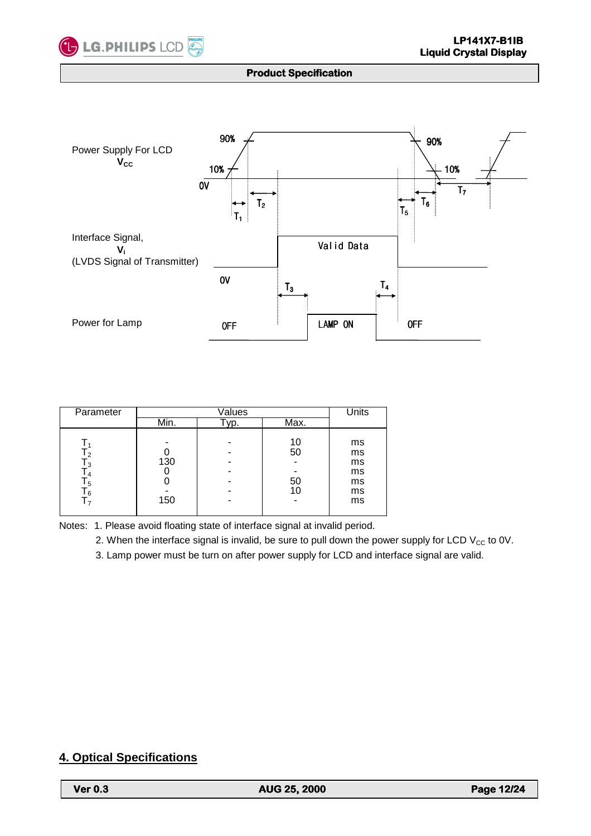



| Parameter                                |            | Units                     |                                        |
|------------------------------------------|------------|---------------------------|----------------------------------------|
|                                          | Min.       | Max.                      |                                        |
| c l<br>IЗ<br>-5<br>6 ا<br>$\overline{ }$ | 130<br>150 | 10<br>50<br>50<br>10<br>- | ms<br>ms<br>ms<br>ms<br>ms<br>ms<br>ms |

Notes: 1. Please avoid floating state of interface signal at invalid period.

2. When the interface signal is invalid, be sure to pull down the power supply for LCD  $V_{CC}$  to 0V.

3. Lamp power must be turn on after power supply for LCD and interface signal are valid.

# **4. Optical Specifications**

L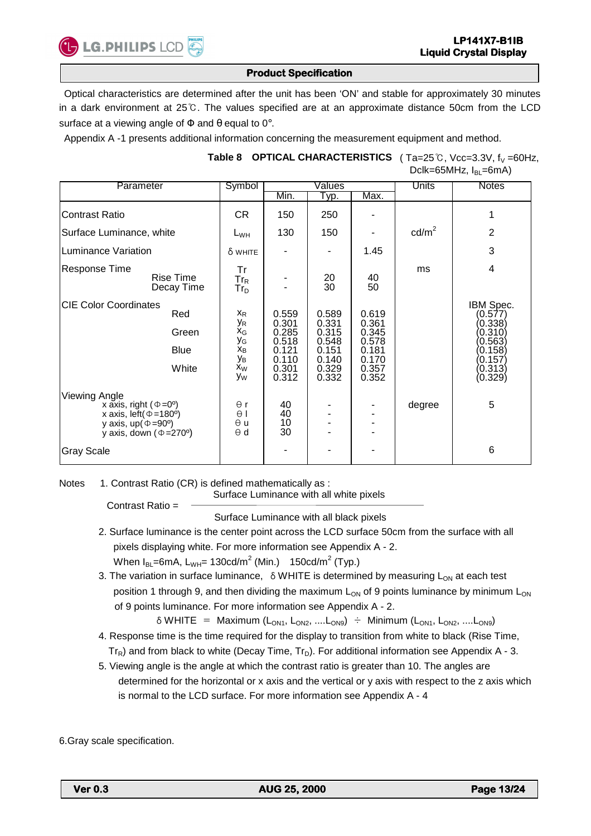

 Optical characteristics are determined after the unit has been 'ON' and stable for approximately 30 minutes in a dark environment at 25℃. The values specified are at an approximate distance 50cm from the LCD surface at a viewing angle of  $\Phi$  and  $\theta$  equal to 0°.

Appendix A -1 presents additional information concerning the measurement equipment and method.

## Table 8 OPTICAL CHARACTERISTICS (Ta=25℃, Vcc=3.3V, f<sub>V</sub> =60Hz, Dclk=65MHz,  $I_{BI}$ =6mA)

| Parameter                                                                                                                                                          |                                      | Symbol                                                                |                                                                      | Values                                                               |                                                                      | Units           | <b>Notes</b>                                                                                      |
|--------------------------------------------------------------------------------------------------------------------------------------------------------------------|--------------------------------------|-----------------------------------------------------------------------|----------------------------------------------------------------------|----------------------------------------------------------------------|----------------------------------------------------------------------|-----------------|---------------------------------------------------------------------------------------------------|
|                                                                                                                                                                    |                                      |                                                                       | Min.                                                                 | Тур.                                                                 | Max.                                                                 |                 |                                                                                                   |
| <b>Contrast Ratio</b>                                                                                                                                              |                                      | CR.                                                                   | 150                                                                  | 250                                                                  |                                                                      |                 | 1                                                                                                 |
| Surface Luminance, white                                                                                                                                           |                                      | $L_{WH}$                                                              | 130                                                                  | 150                                                                  |                                                                      | $\text{cd/m}^2$ | 2                                                                                                 |
| Luminance Variation                                                                                                                                                |                                      | δ white                                                               |                                                                      |                                                                      | 1.45                                                                 |                 | 3                                                                                                 |
| Response Time<br>Rise Time<br>Decay Time                                                                                                                           |                                      | Tr<br>$Tr_R$<br>$\mathsf{Tr}_{\mathsf{D}}$                            |                                                                      | $\substack{20\\30}$                                                  | 40<br>50                                                             | ms              | 4                                                                                                 |
| <b>CIE Color Coordinates</b>                                                                                                                                       | Red<br>Green<br><b>Blue</b><br>White | $X_{R}$<br>УR<br>$X_G$<br>УG<br>$X_{B}$<br>Ув<br>x <sub>W</sub><br>Уw | 0.559<br>0.301<br>0.285<br>0.518<br>0.121<br>0.110<br>0.301<br>0.312 | 0.589<br>0.331<br>0.315<br>0.548<br>0.151<br>0.140<br>0.329<br>0.332 | 0.619<br>0.361<br>0.345<br>0.578<br>0.181<br>0.170<br>0.357<br>0.352 |                 | IBM Spec.<br>(0.577)<br>(0.338)<br>(0.310)<br>(0.563)<br>(0.158)<br>(0.157)<br>(0.313)<br>(0.329) |
| Viewing Angle<br>x axis, right ( $\Phi = 0^{\circ}$ )<br>x axis, left $(\Phi = 180^\circ)$<br>y axis, $up(\Phi = 90^\circ)$<br>y axis, down $(\Phi = 270^{\circ})$ |                                      | $\Theta$ r<br>$\theta$  <br>$\Theta$ u<br>$\theta$ d                  | 40<br>40<br>10<br>30                                                 |                                                                      |                                                                      | degree          | 5                                                                                                 |
| <b>Gray Scale</b>                                                                                                                                                  |                                      |                                                                       |                                                                      |                                                                      |                                                                      |                 | 6                                                                                                 |

Notes 1. Contrast Ratio (CR) is defined mathematically as :

Surface Luminance with all white pixels

Contrast Ratio = Surface Luminance with all black pixels

- 2. Surface luminance is the center point across the LCD surface 50cm from the surface with all pixels displaying white. For more information see Appendix A - 2. When  $I_{BL}$ =6mA, L<sub>WH</sub>= 130cd/m<sup>2</sup> (Min.) 150cd/m<sup>2</sup> (Typ.)
- 3. The variation in surface luminance,  $\delta$  WHITE is determined by measuring  $L_{ON}$  at each test position 1 through 9, and then dividing the maximum  $L_{ON}$  of 9 points luminance by minimum  $L_{ON}$ of 9 points luminance. For more information see Appendix A - 2.

 $\delta$  WHITE = Maximum (L<sub>ON1</sub>, L<sub>ON2</sub>, ....L<sub>ON9</sub>) ÷ Minimum (L<sub>ON1</sub>, L<sub>ON2</sub>, ....L<sub>ON9</sub>)

- 4. Response time is the time required for the display to transition from white to black (Rise Time,  $Tr_R$ ) and from black to white (Decay Time,  $Tr_D$ ). For additional information see Appendix A - 3.
- 5. Viewing angle is the angle at which the contrast ratio is greater than 10. The angles are determined for the horizontal or x axis and the vertical or y axis with respect to the z axis which is normal to the LCD surface. For more information see Appendix A - 4

6.Gray scale specification.

L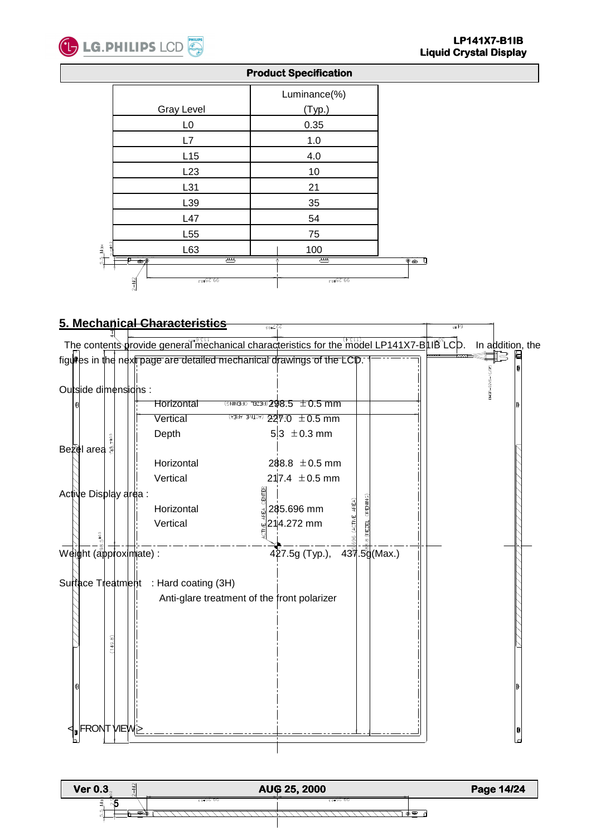

|                      |                                                                | Luminance(%)                       |                      |
|----------------------|----------------------------------------------------------------|------------------------------------|----------------------|
|                      | <b>Gray Level</b>                                              | (Typ.)                             |                      |
|                      | L <sub>0</sub>                                                 | 0.35                               |                      |
|                      | L7                                                             | 1.0                                |                      |
|                      | L15                                                            | 4.0                                |                      |
|                      | L23                                                            | 10                                 |                      |
|                      | L31                                                            | 21                                 |                      |
|                      | L39                                                            | 35                                 |                      |
|                      | L47                                                            | 54                                 |                      |
|                      | L <sub>55</sub>                                                | 75                                 |                      |
| $Q\pm0.2$<br>ža<br>P | L63                                                            | 100                                |                      |
| ្បា                  | म्प्य<br>π<br>$\bullet$<br>$2 - M2$<br>$66^{\circ}52_{\pm0.3}$ | टम्प<br>Ō<br>$66^{\circ}52^{+0.3}$ | $\overline{\bullet}$ |



#### **Ver 0.3 and**  $\frac{1}{3}$  **Page 14/24 AUG 25, 2000 Page 14/24** L  5<u>िक⊜*रिररररर*क</u>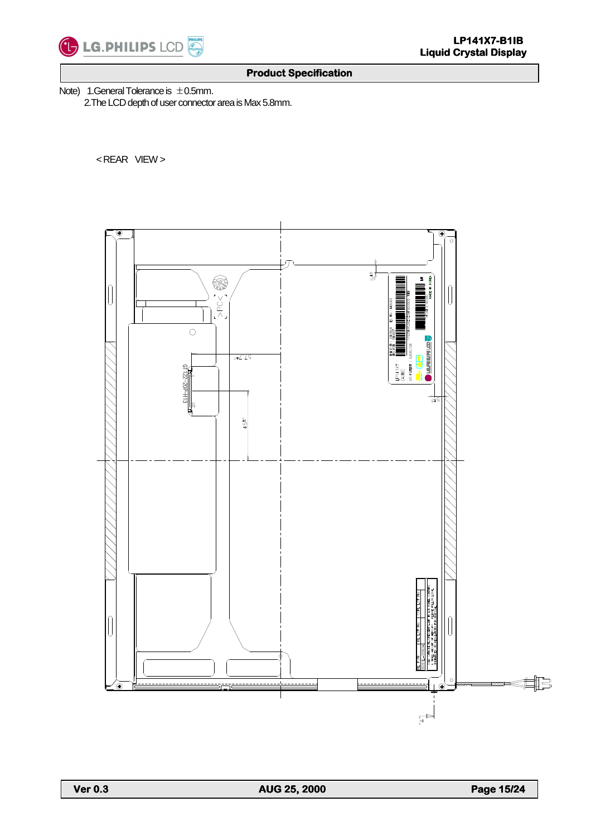

Note) 1.General Tolerance is  $\pm$  0.5mm.

2.The LCD depth of user connector area is Max 5.8mm.

< REAR VIEW >



L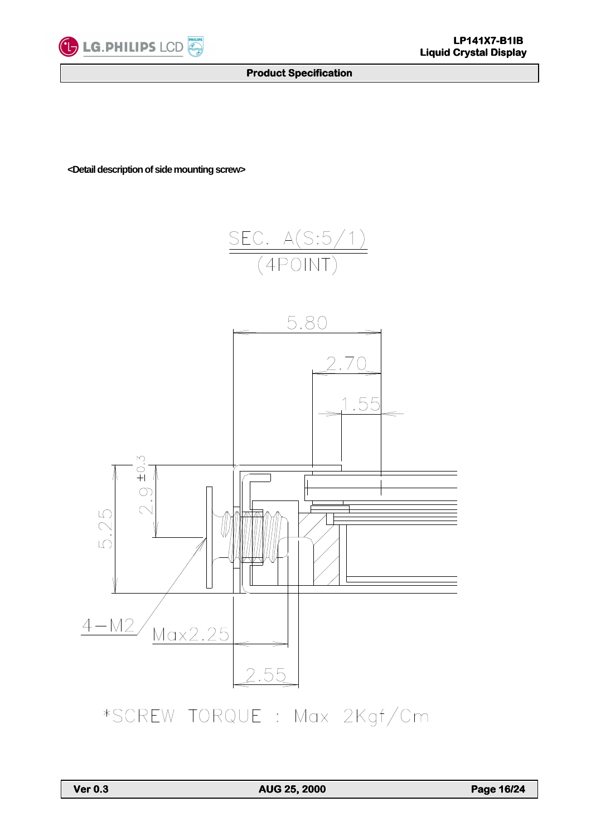

**<Detail description of side mounting screw>** 





\*SCREW TORQUE : Max 2Kgf/Cm

L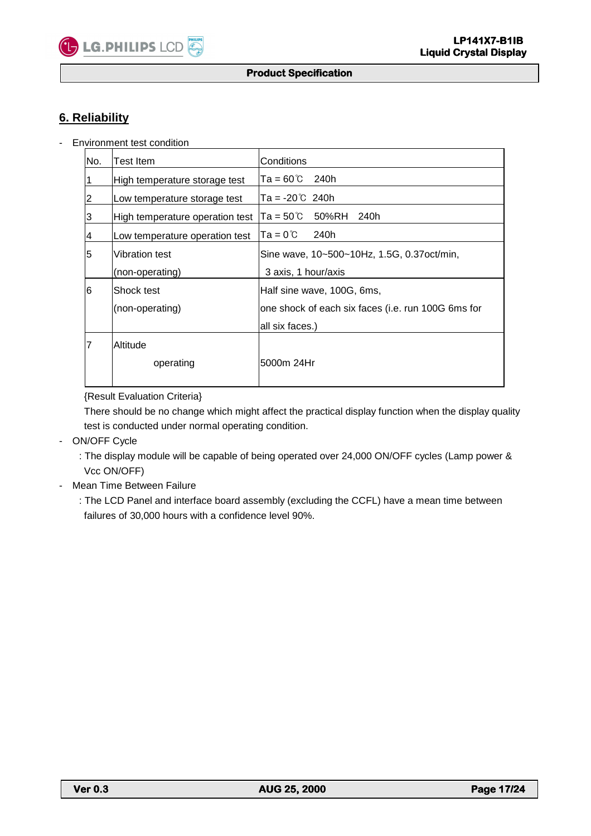# **6. Reliability**

X

- Environment test condition

| No.            | Test Item                       | Conditions                                         |
|----------------|---------------------------------|----------------------------------------------------|
| 1              | High temperature storage test   | lTa = 60℃ 240h                                     |
| $\overline{2}$ | Low temperature storage test    | lTa = -20℃  240h                                   |
| 3              | High temperature operation test | $Ta = 50^{\circ}C$ 50%RH<br>240h                   |
| $\overline{4}$ | Low temperature operation test  | lTa = 0℃<br>240h                                   |
| 5              | <b>Vibration test</b>           | Sine wave, 10~500~10Hz, 1.5G, 0.37oct/min,         |
|                | (non-operating)                 | 3 axis, 1 hour/axis                                |
| 6              | Shock test                      | Half sine wave, 100G, 6ms,                         |
|                | (non-operating)                 | one shock of each six faces (i.e. run 100G 6ms for |
|                |                                 | all six faces.)                                    |
| 7              | Altitude                        |                                                    |
|                | operating                       | l5000m 24Hr                                        |
|                |                                 |                                                    |

{Result Evaluation Criteria}

 There should be no change which might affect the practical display function when the display quality test is conducted under normal operating condition.

- ON/OFF Cycle

 : The display module will be capable of being operated over 24,000 ON/OFF cycles (Lamp power & Vcc ON/OFF)

- Mean Time Between Failure
	- : The LCD Panel and interface board assembly (excluding the CCFL) have a mean time between failures of 30,000 hours with a confidence level 90%.

L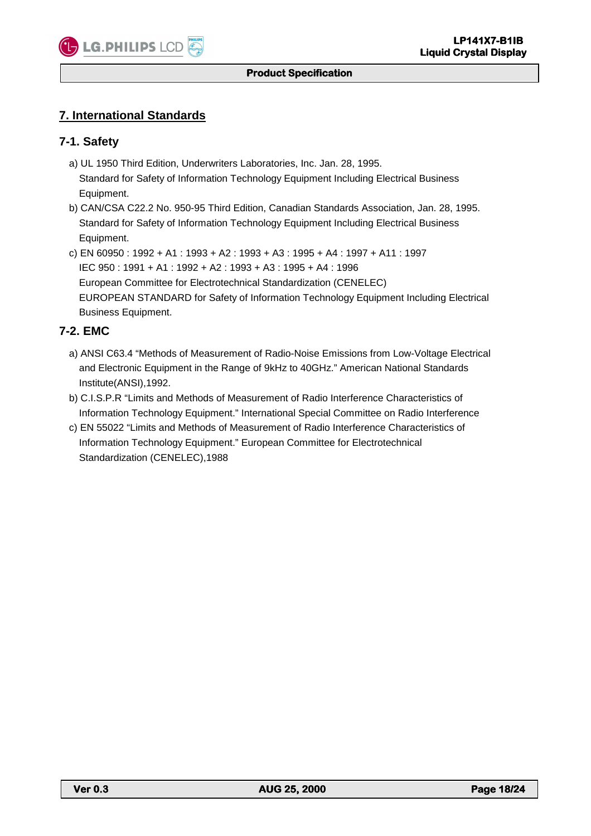

# **7. International Standards**

## **7-1. Safety**

- a) UL 1950 Third Edition, Underwriters Laboratories, Inc. Jan. 28, 1995. Standard for Safety of Information Technology Equipment Including Electrical Business Equipment.
- b) CAN/CSA C22.2 No. 950-95 Third Edition, Canadian Standards Association, Jan. 28, 1995. Standard for Safety of Information Technology Equipment Including Electrical Business Equipment.
- c) EN 60950 : 1992 + A1 : 1993 + A2 : 1993 + A3 : 1995 + A4 : 1997 + A11 : 1997 IEC 950 : 1991 + A1 : 1992 + A2 : 1993 + A3 : 1995 + A4 : 1996 European Committee for Electrotechnical Standardization (CENELEC) EUROPEAN STANDARD for Safety of Information Technology Equipment Including Electrical Business Equipment.

#### **7-2. EMC**

- a) ANSI C63.4 "Methods of Measurement of Radio-Noise Emissions from Low-Voltage Electrical and Electronic Equipment in the Range of 9kHz to 40GHz." American National Standards Institute(ANSI),1992.
- b) C.I.S.P.R "Limits and Methods of Measurement of Radio Interference Characteristics of Information Technology Equipment." International Special Committee on Radio Interference
- c) EN 55022 "Limits and Methods of Measurement of Radio Interference Characteristics of Information Technology Equipment." European Committee for Electrotechnical Standardization (CENELEC),1988

L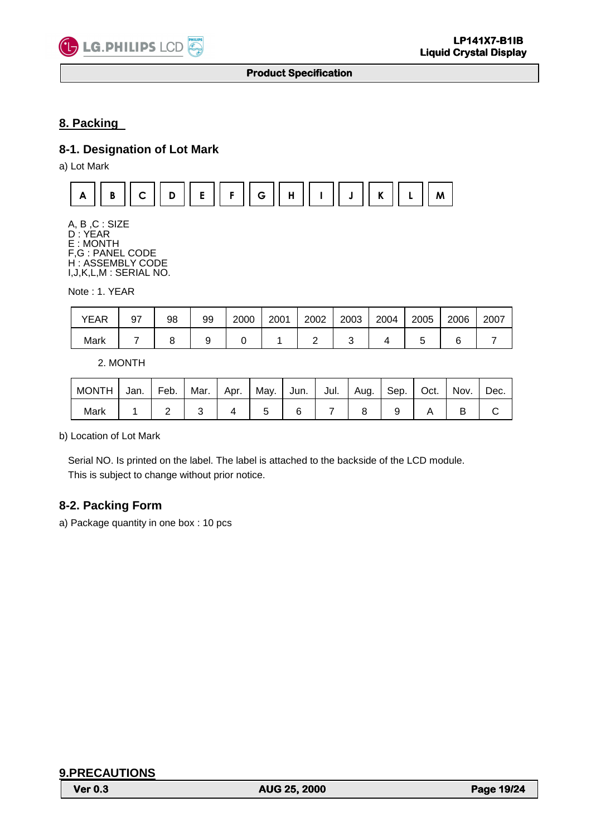

# **8. Packing**

# **8-1. Designation of Lot Mark**

a) Lot Mark



A, B ,C : SIZE D : YEAR E : MONTH F,G : PANEL CODE H : ASSEMBLY CODE I,J,K,L,M : SERIAL NO.

Note : 1. YEAR

| <b>YEAR</b> | 97 | 98 | 99 | 2000 | 2001 | 2002 | 2003 | 2004 | 2005 | 2006 | 2007 |
|-------------|----|----|----|------|------|------|------|------|------|------|------|
| Mark        |    |    |    |      |      |      |      |      |      |      |      |

2. MONTH

| MONTH | Jan. | Feb. | Mar. Apr. |  | May. Jun. |  | Jul.   Aug.   Sep.   Oct.   Nov. |  | Dec. |
|-------|------|------|-----------|--|-----------|--|----------------------------------|--|------|
| Mark  |      |      |           |  |           |  |                                  |  |      |

b) Location of Lot Mark

Serial NO. Is printed on the label. The label is attached to the backside of the LCD module. This is subject to change without prior notice.

# **8-2. Packing Form**

a) Package quantity in one box : 10 pcs

| <b>9.PRECAUTIONS</b> |  |
|----------------------|--|
|----------------------|--|

L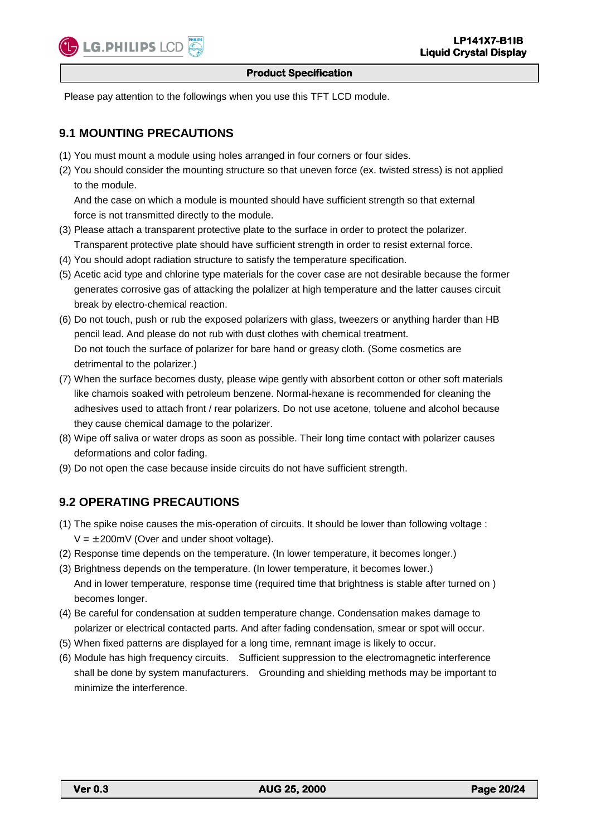

Please pay attention to the followings when you use this TFT LCD module.

# **9.1 MOUNTING PRECAUTIONS**

- (1) You must mount a module using holes arranged in four corners or four sides.
- (2) You should consider the mounting structure so that uneven force (ex. twisted stress) is not applied to the module.

 And the case on which a module is mounted should have sufficient strength so that external force is not transmitted directly to the module.

- (3) Please attach a transparent protective plate to the surface in order to protect the polarizer. Transparent protective plate should have sufficient strength in order to resist external force.
- (4) You should adopt radiation structure to satisfy the temperature specification.
- (5) Acetic acid type and chlorine type materials for the cover case are not desirable because the former generates corrosive gas of attacking the polalizer at high temperature and the latter causes circuit break by electro-chemical reaction.
- (6) Do not touch, push or rub the exposed polarizers with glass, tweezers or anything harder than HB pencil lead. And please do not rub with dust clothes with chemical treatment. Do not touch the surface of polarizer for bare hand or greasy cloth. (Some cosmetics are detrimental to the polarizer.)
- (7) When the surface becomes dusty, please wipe gently with absorbent cotton or other soft materials like chamois soaked with petroleum benzene. Normal-hexane is recommended for cleaning the adhesives used to attach front / rear polarizers. Do not use acetone, toluene and alcohol because they cause chemical damage to the polarizer.
- (8) Wipe off saliva or water drops as soon as possible. Their long time contact with polarizer causes deformations and color fading.
- (9) Do not open the case because inside circuits do not have sufficient strength.

# **9.2 OPERATING PRECAUTIONS**

- (1) The spike noise causes the mis-operation of circuits. It should be lower than following voltage :  $V = \pm 200$  MV (Over and under shoot voltage).
- (2) Response time depends on the temperature. (In lower temperature, it becomes longer.)
- (3) Brightness depends on the temperature. (In lower temperature, it becomes lower.) And in lower temperature, response time (required time that brightness is stable after turned on ) becomes longer.
- (4) Be careful for condensation at sudden temperature change. Condensation makes damage to polarizer or electrical contacted parts. And after fading condensation, smear or spot will occur.
- (5) When fixed patterns are displayed for a long time, remnant image is likely to occur.
- (6) Module has high frequency circuits. Sufficient suppression to the electromagnetic interference shall be done by system manufacturers. Grounding and shielding methods may be important to minimize the interference.

L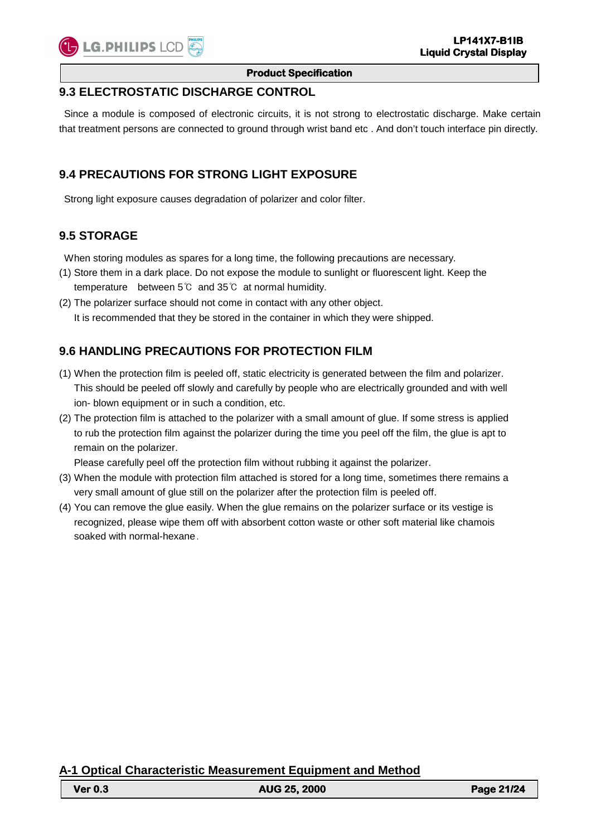#### **Product Specification**

#### **9.3 ELECTROSTATIC DISCHARGE CONTROL**

 Since a module is composed of electronic circuits, it is not strong to electrostatic discharge. Make certain that treatment persons are connected to ground through wrist band etc . And don't touch interface pin directly.

## **9.4 PRECAUTIONS FOR STRONG LIGHT EXPOSURE**

Strong light exposure causes degradation of polarizer and color filter.

## **9.5 STORAGE**

When storing modules as spares for a long time, the following precautions are necessary.

- (1) Store them in a dark place. Do not expose the module to sunlight or fluorescent light. Keep the temperature between 5℃ and 35℃ at normal humidity.
- (2) The polarizer surface should not come in contact with any other object. It is recommended that they be stored in the container in which they were shipped.

# **9.6 HANDLING PRECAUTIONS FOR PROTECTION FILM**

- (1) When the protection film is peeled off, static electricity is generated between the film and polarizer. This should be peeled off slowly and carefully by people who are electrically grounded and with well ion- blown equipment or in such a condition, etc.
- (2) The protection film is attached to the polarizer with a small amount of glue. If some stress is applied to rub the protection film against the polarizer during the time you peel off the film, the glue is apt to remain on the polarizer.

Please carefully peel off the protection film without rubbing it against the polarizer.

- (3) When the module with protection film attached is stored for a long time, sometimes there remains a very small amount of glue still on the polarizer after the protection film is peeled off.
- (4) You can remove the glue easily. When the glue remains on the polarizer surface or its vestige is recognized, please wipe them off with absorbent cotton waste or other soft material like chamois soaked with normal-hexane.

**A-1 Optical Characteristic Measurement Equipment and Method**

| <b>Ver 0.3</b> | <b>AUG 25, 2000</b> | <b>Page 21/24</b> |
|----------------|---------------------|-------------------|
|                |                     |                   |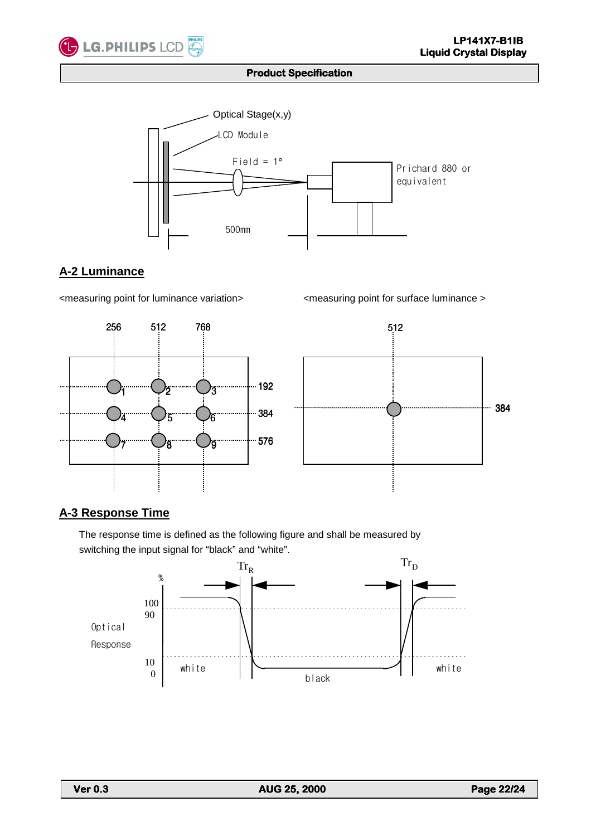





# **A-2 Luminance**

<measuring point for luminance variation> <measuring point for surface luminance >





# **A-3 Response Time**

 The response time is defined as the following figure and shall be measured by switching the input signal for "black" and "white".



L